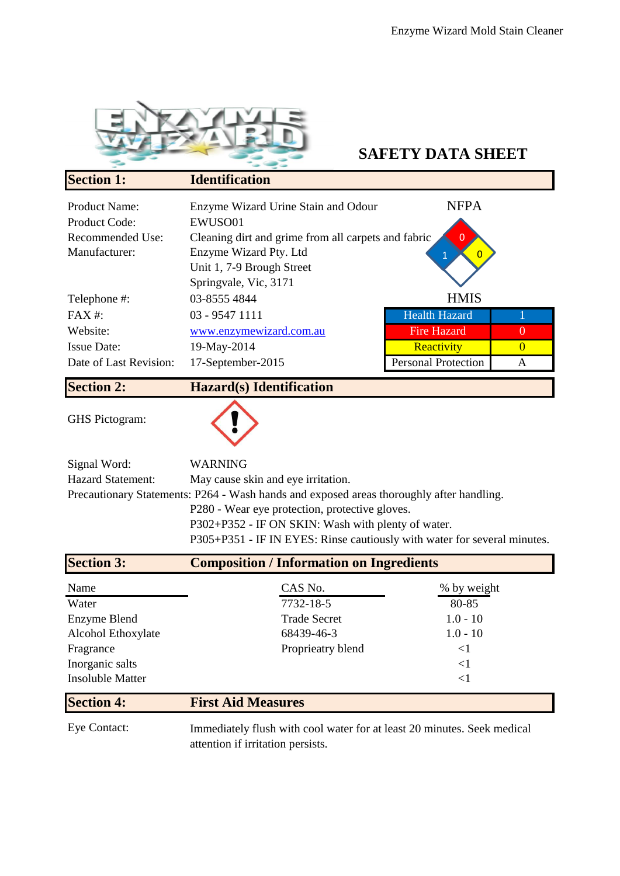

## **SAFETY DATA SHEET**

| <b>Section 1:</b>      | <b>Identification</b>                               |                            |                |
|------------------------|-----------------------------------------------------|----------------------------|----------------|
| <b>Product Name:</b>   | Enzyme Wizard Urine Stain and Odour                 | <b>NFPA</b>                |                |
| <b>Product Code:</b>   | EWUSO01                                             |                            |                |
| Recommended Use:       | Cleaning dirt and grime from all carpets and fabric | $\overline{0}$             |                |
| Manufacturer:          | Enzyme Wizard Pty. Ltd                              |                            |                |
|                        | Unit 1, 7-9 Brough Street                           |                            |                |
|                        | Springvale, Vic, 3171                               |                            |                |
| Telephone #:           | 03-8555 4844                                        | <b>HMIS</b>                |                |
| $FAX#$ :               | 03 - 9547 1111                                      | <b>Health Hazard</b>       |                |
| Website:               | www.enzymewizard.com.au                             | <b>Fire Hazard</b>         | $\overline{0}$ |
| <b>Issue Date:</b>     | 19-May-2014                                         | Reactivity                 | $\Omega$       |
| Date of Last Revision: | 17-September-2015                                   | <b>Personal Protection</b> | A              |
| <b>Section 2:</b>      | <b>Hazard</b> (s) <b>Identification</b>             |                            |                |

GHS Pictogram:



| Signal Word:             | <b>WARNING</b>                                                                           |
|--------------------------|------------------------------------------------------------------------------------------|
| <b>Hazard Statement:</b> | May cause skin and eye irritation.                                                       |
|                          | Precautionary Statements: P264 - Wash hands and exposed areas thoroughly after handling. |
|                          | P280 - Wear eye protection, protective gloves.                                           |
|                          | P302+P352 - IF ON SKIN: Wash with plenty of water.                                       |
|                          | P305+P351 - IF IN EYES: Rinse cautiously with water for several minutes.                 |

| <b>Section 3:</b>       | <b>Composition / Information on Ingredients</b> |             |
|-------------------------|-------------------------------------------------|-------------|
| Name                    | CAS No.                                         | % by weight |
| Water                   | 7732-18-5                                       | 80-85       |
| Enzyme Blend            | <b>Trade Secret</b>                             | $1.0 - 10$  |
| Alcohol Ethoxylate      | 68439-46-3                                      | $1.0 - 10$  |
| Fragrance               | Proprieatry blend                               | $\leq$ 1    |
| Inorganic salts         |                                                 | $\leq$ 1    |
| <b>Insoluble Matter</b> |                                                 | $\leq$      |
|                         |                                                 |             |

## **Section 4: First Aid Measures**

Eye Contact:

Immediately flush with cool water for at least 20 minutes. Seek medical attention if irritation persists.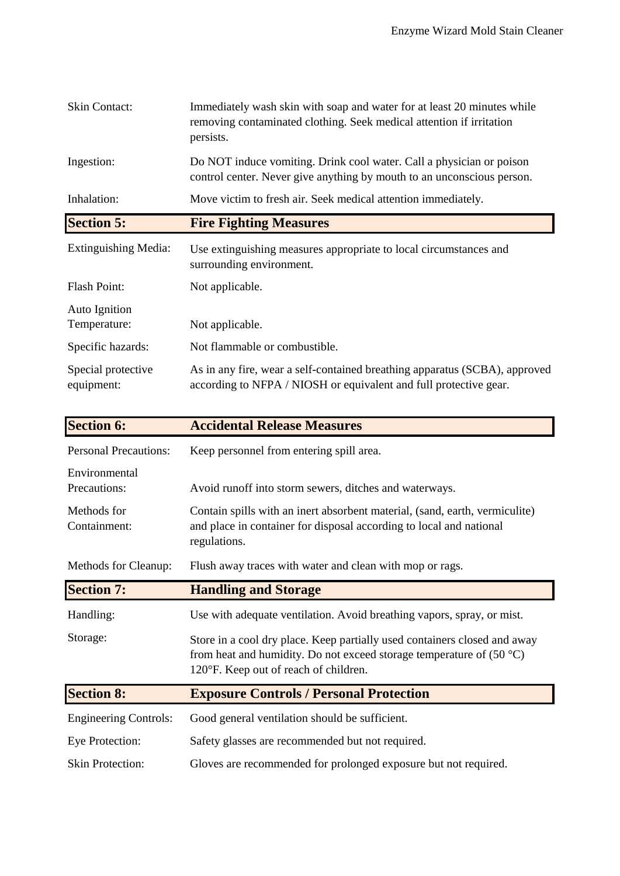| <b>Skin Contact:</b>             | Immediately wash skin with soap and water for at least 20 minutes while<br>removing contaminated clothing. Seek medical attention if irritation<br>persists. |
|----------------------------------|--------------------------------------------------------------------------------------------------------------------------------------------------------------|
| Ingestion:                       | Do NOT induce vomiting. Drink cool water. Call a physician or poison<br>control center. Never give anything by mouth to an unconscious person.               |
| Inhalation:                      | Move victim to fresh air. Seek medical attention immediately.                                                                                                |
| <b>Section 5:</b>                | <b>Fire Fighting Measures</b>                                                                                                                                |
| <b>Extinguishing Media:</b>      | Use extinguishing measures appropriate to local circumstances and<br>surrounding environment.                                                                |
| <b>Flash Point:</b>              | Not applicable.                                                                                                                                              |
| Auto Ignition<br>Temperature:    | Not applicable.                                                                                                                                              |
| Specific hazards:                | Not flammable or combustible.                                                                                                                                |
| Special protective<br>equipment: | As in any fire, wear a self-contained breathing apparatus (SCBA), approved<br>according to NFPA / NIOSH or equivalent and full protective gear.              |

| <b>Section 6:</b>             | <b>Accidental Release Measures</b>                                                                                                                                                           |
|-------------------------------|----------------------------------------------------------------------------------------------------------------------------------------------------------------------------------------------|
| <b>Personal Precautions:</b>  | Keep personnel from entering spill area.                                                                                                                                                     |
| Environmental<br>Precautions: | Avoid runoff into storm sewers, ditches and waterways.                                                                                                                                       |
| Methods for<br>Containment:   | Contain spills with an inert absorbent material, (sand, earth, vermiculite)<br>and place in container for disposal according to local and national<br>regulations.                           |
| Methods for Cleanup:          | Flush away traces with water and clean with mop or rags.                                                                                                                                     |
| <b>Section 7:</b>             | <b>Handling and Storage</b>                                                                                                                                                                  |
| Handling:                     | Use with adequate ventilation. Avoid breathing vapors, spray, or mist.                                                                                                                       |
| Storage:                      | Store in a cool dry place. Keep partially used containers closed and away<br>from heat and humidity. Do not exceed storage temperature of $(50 °C)$<br>120°F. Keep out of reach of children. |
| <b>Section 8:</b>             | <b>Exposure Controls / Personal Protection</b>                                                                                                                                               |
| <b>Engineering Controls:</b>  | Good general ventilation should be sufficient.                                                                                                                                               |
| <b>Eye Protection:</b>        | Safety glasses are recommended but not required.                                                                                                                                             |
| <b>Skin Protection:</b>       | Gloves are recommended for prolonged exposure but not required.                                                                                                                              |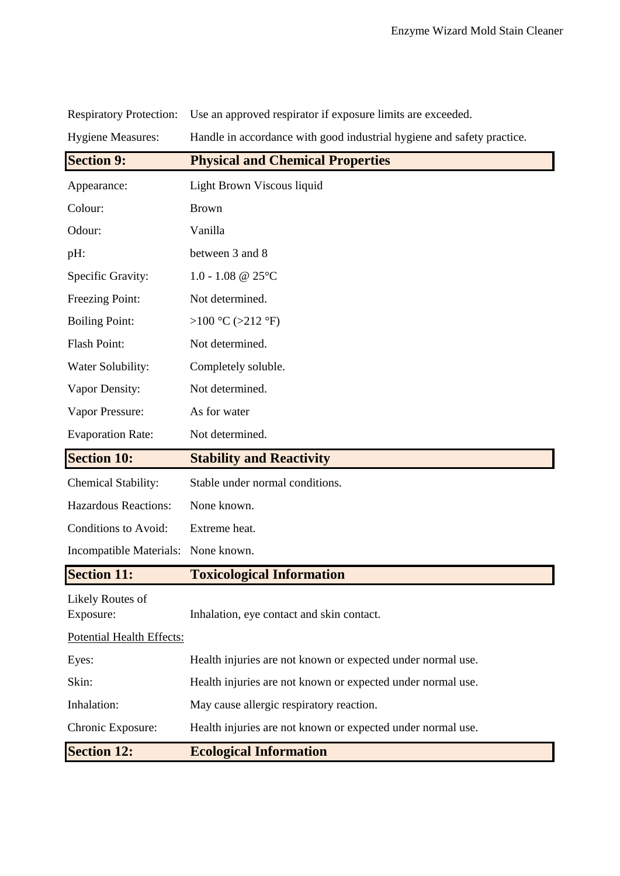| <b>Hygiene Measures:</b>             | Handle in accordance with good industrial hygiene and safety practice. |
|--------------------------------------|------------------------------------------------------------------------|
| <b>Section 9:</b>                    | <b>Physical and Chemical Properties</b>                                |
| Appearance:                          | Light Brown Viscous liquid                                             |
| Colour:                              | <b>Brown</b>                                                           |
| Odour:                               | Vanilla                                                                |
| pH:                                  | between 3 and 8                                                        |
| Specific Gravity:                    | 1.0 - 1.08 @ $25^{\circ}$ C                                            |
| Freezing Point:                      | Not determined.                                                        |
| <b>Boiling Point:</b>                | >100 °C (>212 °F)                                                      |
| <b>Flash Point:</b>                  | Not determined.                                                        |
| Water Solubility:                    | Completely soluble.                                                    |
| Vapor Density:                       | Not determined.                                                        |
| Vapor Pressure:                      | As for water                                                           |
| <b>Evaporation Rate:</b>             | Not determined.                                                        |
| <b>Section 10:</b>                   | <b>Stability and Reactivity</b>                                        |
| <b>Chemical Stability:</b>           | Stable under normal conditions.                                        |
| <b>Hazardous Reactions:</b>          | None known.                                                            |
| Conditions to Avoid:                 | Extreme heat.                                                          |
| Incompatible Materials:              | None known.                                                            |
| <b>Section 11:</b>                   | <b>Toxicological Information</b>                                       |
| <b>Likely Routes of</b><br>Exposure: | Inhalation, eye contact and skin contact.                              |
| Potential Health Effects:            |                                                                        |
| Eyes:                                | Health injuries are not known or expected under normal use.            |
| Skin:                                | Health injuries are not known or expected under normal use.            |
| Inhalation:                          | May cause allergic respiratory reaction.                               |
| Chronic Exposure:                    | Health injuries are not known or expected under normal use.            |
| <b>Section 12:</b>                   | <b>Ecological Information</b>                                          |

Respiratory Protection: Use an approved respirator if exposure limits are exceeded.